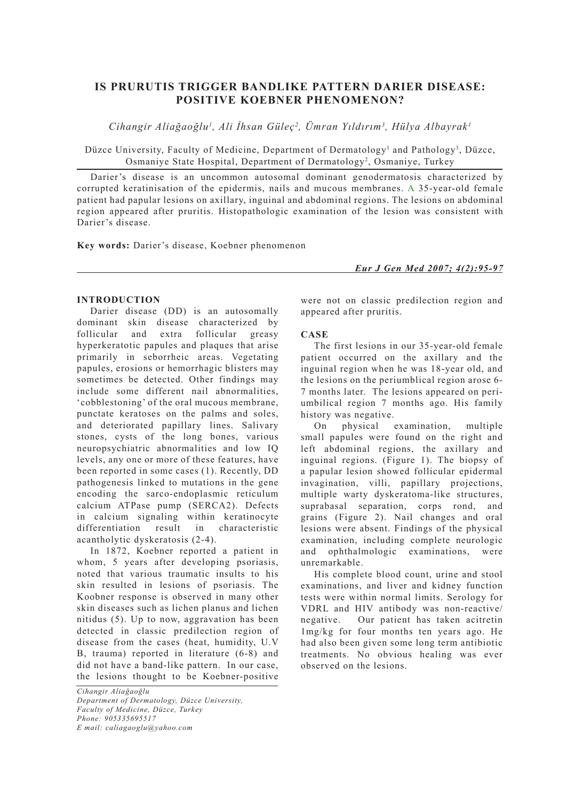# **IS PRURUTIS TRIGGER BANDLIKE PATTERN DARIER DISEASE: POSITIVE KOEBNER PHENOMENON?**

*Cihangir Aliağaoğlu1 , Ali İhsan Güleç2 , Ümran Yıldırım3 , Hülya Albayrak1*

Düzce University, Faculty of Medicine, Department of Dermatology<sup>1</sup> and Pathology<sup>3</sup>, Düzce, Osmaniye State Hospital, Department of Dermatology<sup>2</sup>, Osmaniye, Turkey

Darier's disease is an uncommon autosomal dominant genodermatosis characterized by corrupted keratinisation of the epidermis, nails and mucous membranes. A 35-year-old female patient had papular lesions on axillary, inguinal and abdominal regions. The lesions on abdominal region appeared after pruritis. Histopathologic examination of the lesion was consistent with Darier's disease.

**Key words:** Darier's disease, Koebner phenomenon

*Eur J Gen Med 2007; 4(2):95-97*

## **INTRODUCTION**

Darier disease (DD) is an autosomally dominant skin disease characterized by follicular and extra follicular greasy hyperkeratotic papules and plaques that arise primarily in seborrheic areas. Vegetating papules, erosions or hemorrhagic blisters may sometimes be detected. Other findings may include some different nail abnormalities, 'cobblestoning' of the oral mucous membrane, punctate keratoses on the palms and soles, and deteriorated papillary lines. Salivary stones, cysts of the long bones, various neuropsychiatric abnormalities and low IQ levels, any one or more of these features, have been reported in some cases (1). Recently, DD pathogenesis linked to mutations in the gene encoding the sarco-endoplasmic reticulum calcium ATPase pump (SERCA2). Defects in calcium signaling within keratinocyte differentiation result in characteristic acantholytic dyskeratosis (2-4).

In 1872, Koebner reported a patient in whom, 5 years after developing psoriasis, noted that various traumatic insults to his skin resulted in lesions of psoriasis. The Koobner response is observed in many other skin diseases such as lichen planus and lichen nitidus (5). Up to now, aggravation has been detected in classic predilection region of disease from the cases (heat, humidity, U.V B, trauma) reported in literature (6-8) and did not have a band-like pattern. In our case, the lesions thought to be Koebner-positive

*Cihangir Aliağaoğlu Department of Dermatology, Düzce University, Faculty of Medicine, Düzce, Turkey Phone: 905335695517 E mail: caliagaoglu@yahoo.com*

were not on classic predilection region and appeared after pruritis.

## **CASE**

The first lesions in our 35-year-old female patient occurred on the axillary and the inguinal region when he was 18-year old, and the lesions on the periumblical region arose 6- 7 months later. The lesions appeared on periumbilical region 7 months ago. His family history was negative.

On physical examination, multiple small papules were found on the right and left abdominal regions, the axillary and inguinal regions. (Figure 1). The biopsy of a papular lesion showed follicular epidermal invagination, villi, papillary projections, multiple warty dyskeratoma-like structures, suprabasal separation, corps rond, and grains (Figure 2). Nail changes and oral lesions were absent. Findings of the physical examination, including complete neurologic and ophthalmologic examinations, were unremarkable.

His complete blood count, urine and stool examinations, and liver and kidney function tests were within normal limits. Serology for VDRL and HIV antibody was non-reactive/ negative. Our patient has taken acitretin 1mg/kg for four months ten years ago. He had also been given some long term antibiotic treatments. No obvious healing was ever observed on the lesions.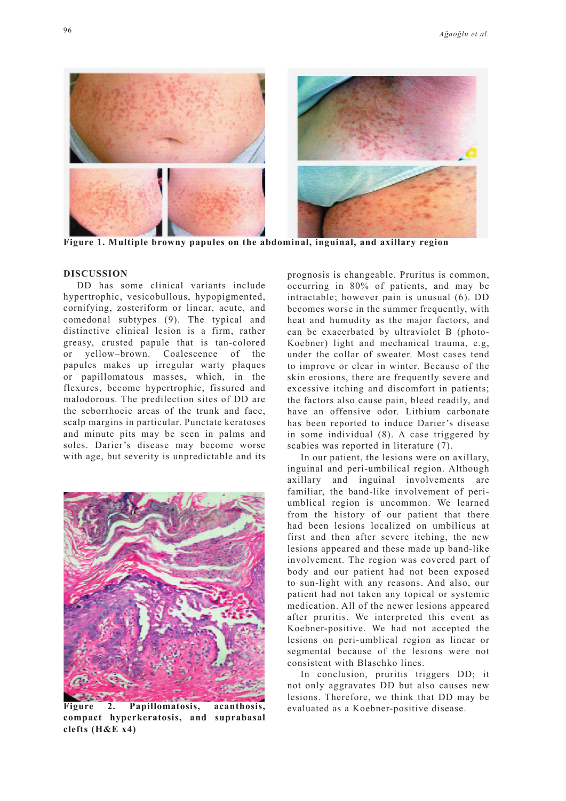

**Figure 1. Multiple browny papules on the abdominal, inguinal, and axillary region**

#### **DISCUSSION**

DD has some clinical variants include hypertrophic, vesicobullous, hypopigmented, cornifying, zosteriform or linear, acute, and comedonal subtypes (9). The typical and distinctive clinical lesion is a firm, rather greasy, crusted papule that is tan-colored or yellow–brown. Coalescence of the papules makes up irregular warty plaques or papillomatous masses, which, in the flexures, become hypertrophic, fissured and malodorous. The predilection sites of DD are the seborrhoeic areas of the trunk and face, scalp margins in particular. Punctate keratoses and minute pits may be seen in palms and soles. Darier's disease may become worse with age, but severity is unpredictable and its



**Figure 2. Papillomatosis, acanthosis,** evaluated as a Koebner-positive disease. **compact hyperkeratosis, and suprabasal clefts (H&E x4)**

prognosis is changeable. Pruritus is common, occurring in 80% of patients, and may be intractable; however pain is unusual (6). DD becomes worse in the summer frequently, with heat and humudity as the major factors, and can be exacerbated by ultraviolet B (photo-Koebner) light and mechanical trauma, e.g, under the collar of sweater. Most cases tend to improve or clear in winter. Because of the skin erosions, there are frequently severe and excessive itching and discomfort in patients; the factors also cause pain, bleed readily, and have an offensive odor. Lithium carbonate has been reported to induce Darier's disease in some individual (8). A case triggered by scabies was reported in literature (7).

In our patient, the lesions were on axillary, inguinal and peri-umbilical region. Although axillary and inguinal involvements are familiar, the band-like involvement of periumblical region is uncommon. We learned from the history of our patient that there had been lesions localized on umbilicus at first and then after severe itching, the new lesions appeared and these made up band-like involvement. The region was covered part of body and our patient had not been exposed to sun-light with any reasons. And also, our patient had not taken any topical or systemic medication. All of the newer lesions appeared after pruritis. We interpreted this event as Koebner-positive. We had not accepted the lesions on peri-umblical region as linear or segmental because of the lesions were not consistent with Blaschko lines.

In conclusion, pruritis triggers DD; it not only aggravates DD but also causes new lesions. Therefore, we think that DD may be